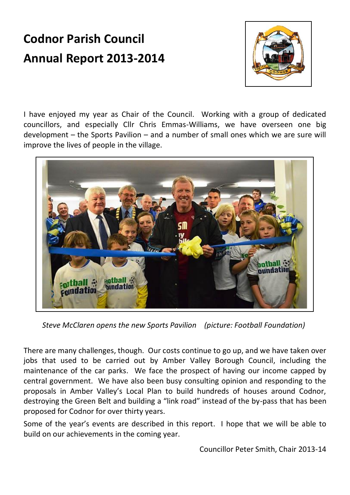# **Codnor Parish Council Annual Report 2013-2014**



I have enjoyed my year as Chair of the Council. Working with a group of dedicated councillors, and especially Cllr Chris Emmas-Williams, we have overseen one big development – the Sports Pavilion – and a number of small ones which we are sure will improve the lives of people in the village.



*Steve McClaren opens the new Sports Pavilion (picture: Football Foundation)*

There are many challenges, though. Our costs continue to go up, and we have taken over jobs that used to be carried out by Amber Valley Borough Council, including the maintenance of the car parks. We face the prospect of having our income capped by central government. We have also been busy consulting opinion and responding to the proposals in Amber Valley's Local Plan to build hundreds of houses around Codnor, destroying the Green Belt and building a "link road" instead of the by-pass that has been proposed for Codnor for over thirty years.

Some of the year's events are described in this report. I hope that we will be able to build on our achievements in the coming year.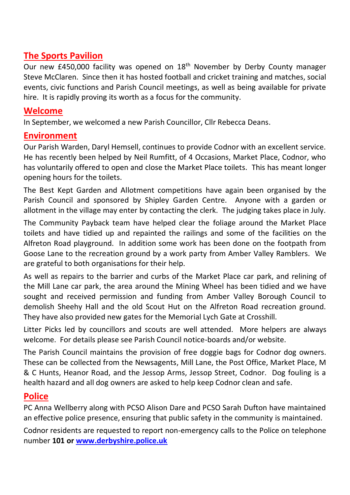# **The Sports Pavilion**

Our new £450,000 facility was opened on  $18<sup>th</sup>$  November by Derby County manager Steve McClaren. Since then it has hosted football and cricket training and matches, social events, civic functions and Parish Council meetings, as well as being available for private hire. It is rapidly proving its worth as a focus for the community.

## **Welcome**

In September, we welcomed a new Parish Councillor, Cllr Rebecca Deans.

# **Environment**

Our Parish Warden, Daryl Hemsell, continues to provide Codnor with an excellent service. He has recently been helped by Neil Rumfitt, of 4 Occasions, Market Place, Codnor, who has voluntarily offered to open and close the Market Place toilets. This has meant longer opening hours for the toilets.

The Best Kept Garden and Allotment competitions have again been organised by the Parish Council and sponsored by Shipley Garden Centre. Anyone with a garden or allotment in the village may enter by contacting the clerk. The judging takes place in July.

The Community Payback team have helped clear the foliage around the Market Place toilets and have tidied up and repainted the railings and some of the facilities on the Alfreton Road playground. In addition some work has been done on the footpath from Goose Lane to the recreation ground by a work party from Amber Valley Ramblers. We are grateful to both organisations for their help.

As well as repairs to the barrier and curbs of the Market Place car park, and relining of the Mill Lane car park, the area around the Mining Wheel has been tidied and we have sought and received permission and funding from Amber Valley Borough Council to demolish Sheehy Hall and the old Scout Hut on the Alfreton Road recreation ground. They have also provided new gates for the Memorial Lych Gate at Crosshill.

Litter Picks led by councillors and scouts are well attended. More helpers are always welcome. For details please see Parish Council notice-boards and/or website.

The Parish Council maintains the provision of free doggie bags for Codnor dog owners. These can be collected from the Newsagents, Mill Lane, the Post Office, Market Place, M & C Hunts, Heanor Road, and the Jessop Arms, Jessop Street, Codnor. Dog fouling is a health hazard and all dog owners are asked to help keep Codnor clean and safe.

# **Police**

PC Anna Wellberry along with PCSO Alison Dare and PCSO Sarah Dufton have maintained an effective police presence, ensuring that public safety in the community is maintained.

Codnor residents are requested to report non-emergency calls to the Police on telephone number **101 o[r www.derbyshire.police.uk](http://www.derbyshire.police.uk/)**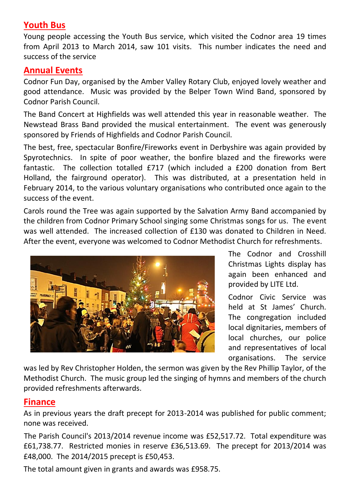## **Youth Bus**

Young people accessing the Youth Bus service, which visited the Codnor area 19 times from April 2013 to March 2014, saw 101 visits. This number indicates the need and success of the service

### **Annual Events**

Codnor Fun Day, organised by the Amber Valley Rotary Club, enjoyed lovely weather and good attendance. Music was provided by the Belper Town Wind Band, sponsored by Codnor Parish Council.

The Band Concert at Highfields was well attended this year in reasonable weather. The Newstead Brass Band provided the musical entertainment. The event was generously sponsored by Friends of Highfields and Codnor Parish Council.

The best, free, spectacular Bonfire/Fireworks event in Derbyshire was again provided by Spyrotechnics. In spite of poor weather, the bonfire blazed and the fireworks were fantastic. The collection totalled £717 (which included a £200 donation from Bert Holland, the fairground operator). This was distributed, at a presentation held in February 2014, to the various voluntary organisations who contributed once again to the success of the event.

Carols round the Tree was again supported by the Salvation Army Band accompanied by the children from Codnor Primary School singing some Christmas songs for us. The event was well attended. The increased collection of £130 was donated to Children in Need. After the event, everyone was welcomed to Codnor Methodist Church for refreshments.



The Codnor and Crosshill Christmas Lights display has again been enhanced and provided by LITE Ltd.

Codnor Civic Service was held at St James' Church. The congregation included local dignitaries, members of local churches, our police and representatives of local organisations. The service

was led by Rev Christopher Holden, the sermon was given by the Rev Phillip Taylor, of the Methodist Church. The music group led the singing of hymns and members of the church provided refreshments afterwards.

### **Finance**

As in previous years the draft precept for 2013-2014 was published for public comment; none was received.

The Parish Council's 2013/2014 revenue income was £52,517.72. Total expenditure was £61,738.77. Restricted monies in reserve £36,513.69. The precept for 2013/2014 was £48,000. The 2014/2015 precept is £50,453.

The total amount given in grants and awards was £958.75.